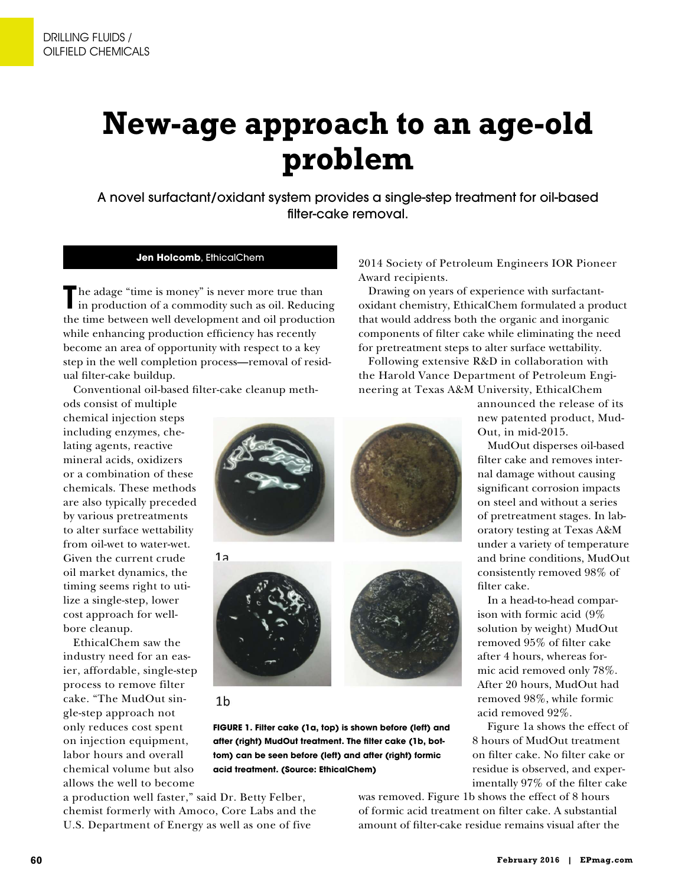# **New-age approach to an age-old problem**

A novel surfactant/oxidant system provides a single-step treatment for oil-based filter-cake removal.

## **Jen Holcomb**, EthicalChem

The adage "time is money" is never more true than<br>in production of a commodity such as oil. Reducir in production of a commodity such as oil. Reducing the time between well development and oil production while enhancing production efficiency has recently become an area of opportunity with respect to a key step in the well completion process**—**removal of residual flter-cake buildup.

Conventional oil-based flter-cake cleanup meth-

ods consist of multiple chemical injection steps including enzymes, chelating agents, reactive mineral acids, oxidizers or a combination of these chemicals. These methods are also typically preceded by various pretreatments to alter surface wettability from oil-wet to water-wet. Given the current crude oil market dynamics, the timing seems right to utilize a single-step, lower cost approach for wellbore cleanup.

EthicalChem saw the industry need for an easier, affordable, single-step process to remove filter cake. "The MudOut single-step approach not only reduces cost spent on injection equipment, labor hours and overall chemical volume but also allows the well to become









**after (right) MudOut treatment. The flter cake (1b, bottom) can be seen before (left) and after (right) formic acid treatment. (Source: EthicalChem)**

a production well faster," said Dr. Betty Felber, chemist formerly with Amoco, Core Labs and the U.S. Department of Energy as well as one of five

2014 Society of Petroleum Engineers IOR Pioneer Award recipients.

Drawing on years of experience with surfactantoxidant chemistry, EthicalChem formulated a product that would address both the organic and inorganic components of flter cake while eliminating the need for pretreatment steps to alter surface wettability.

Following extensive R&D in collaboration with the Harold Vance Department of Petroleum Engineering at Texas A&M University, EthicalChem

> announced the release of its new patented product, Mud-Out, in mid-2015.

MudOut disperses oil-based flter cake and removes internal damage without causing signifcant corrosion impacts on steel and without a series of pretreatment stages. In laboratory testing at Texas A&M under a variety of temperature and brine conditions, MudOut consistently removed 98% of flter cake.

In a head-to-head comparison with formic acid (9% solution by weight) MudOut removed 95% of flter cake after 4 hours, whereas formic acid removed only 78%. After 20 hours, MudOut had removed 98%, while formic acid removed 92%.

Figure 1a shows the effect of 8 hours of MudOut treatment on flter cake. No flter cake or residue is observed, and experimentally 97% of the flter cake

was removed. Figure 1b shows the effect of 8 hours of formic acid treatment on flter cake. A substantial amount of flter-cake residue remains visual after the